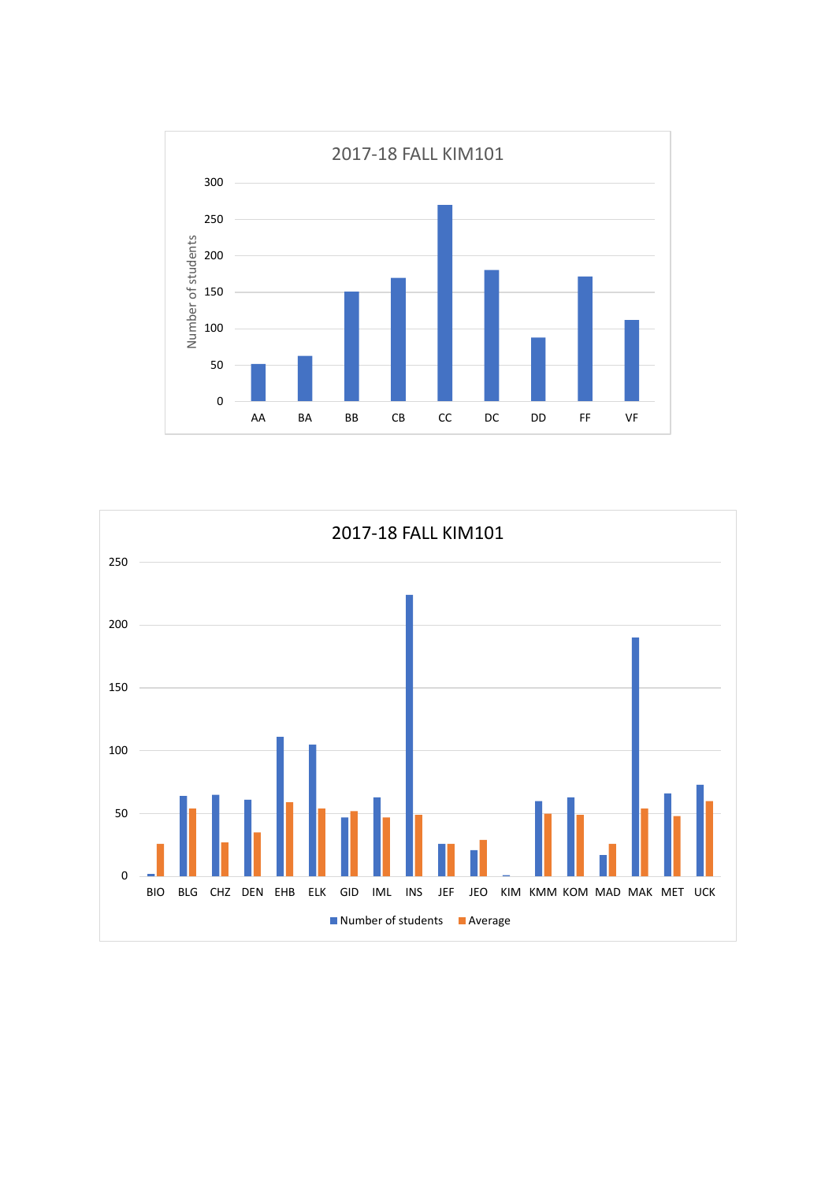

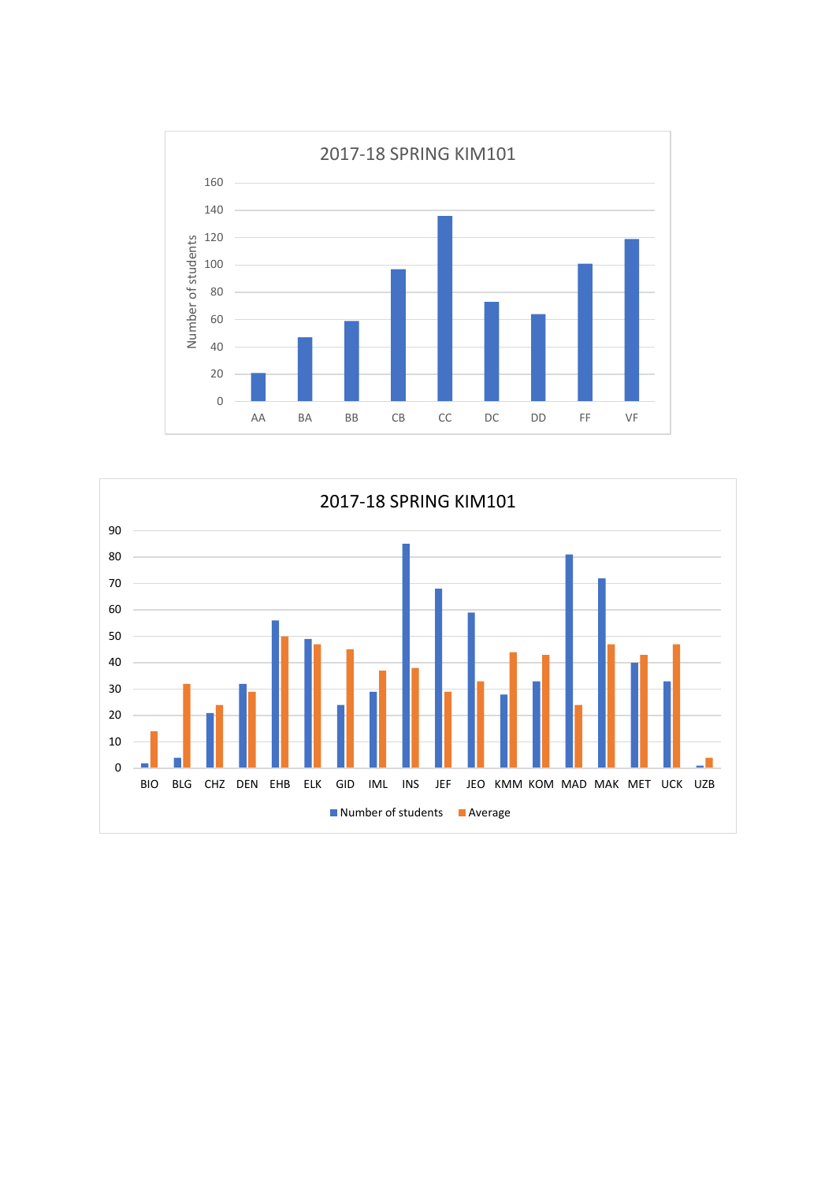

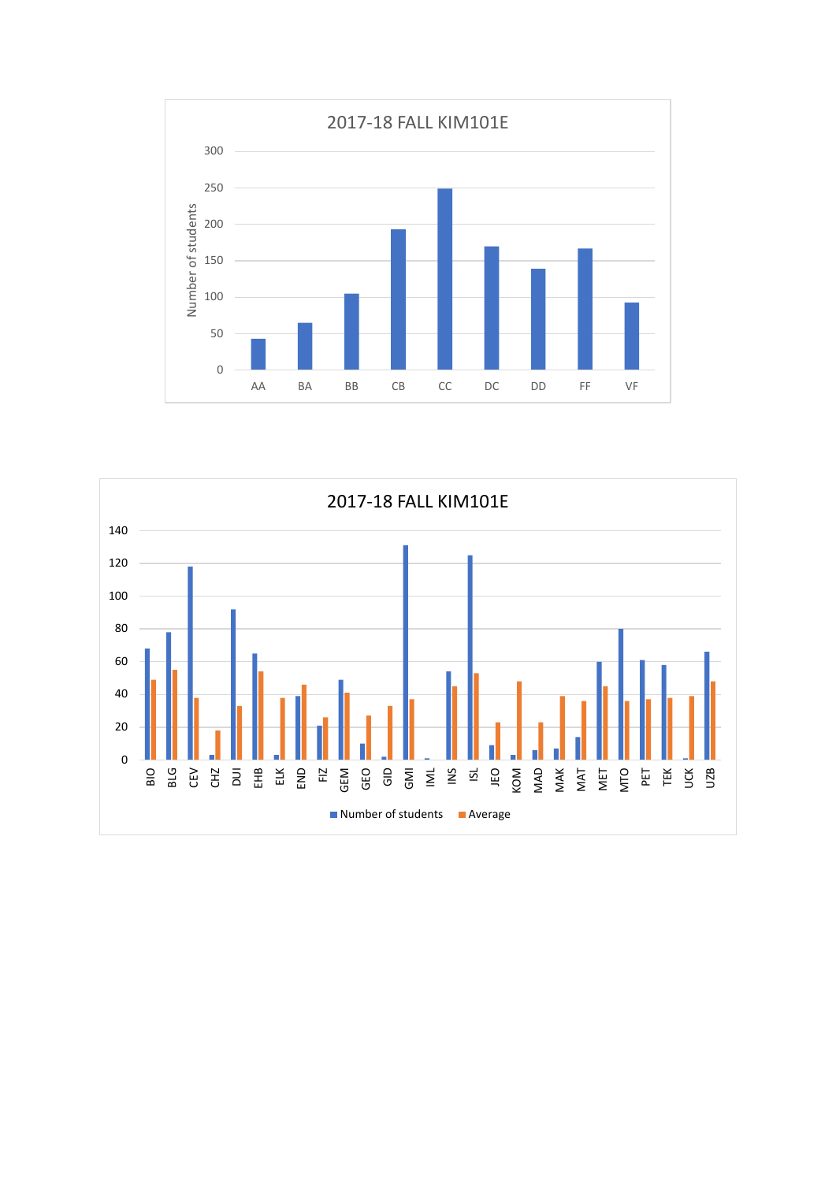